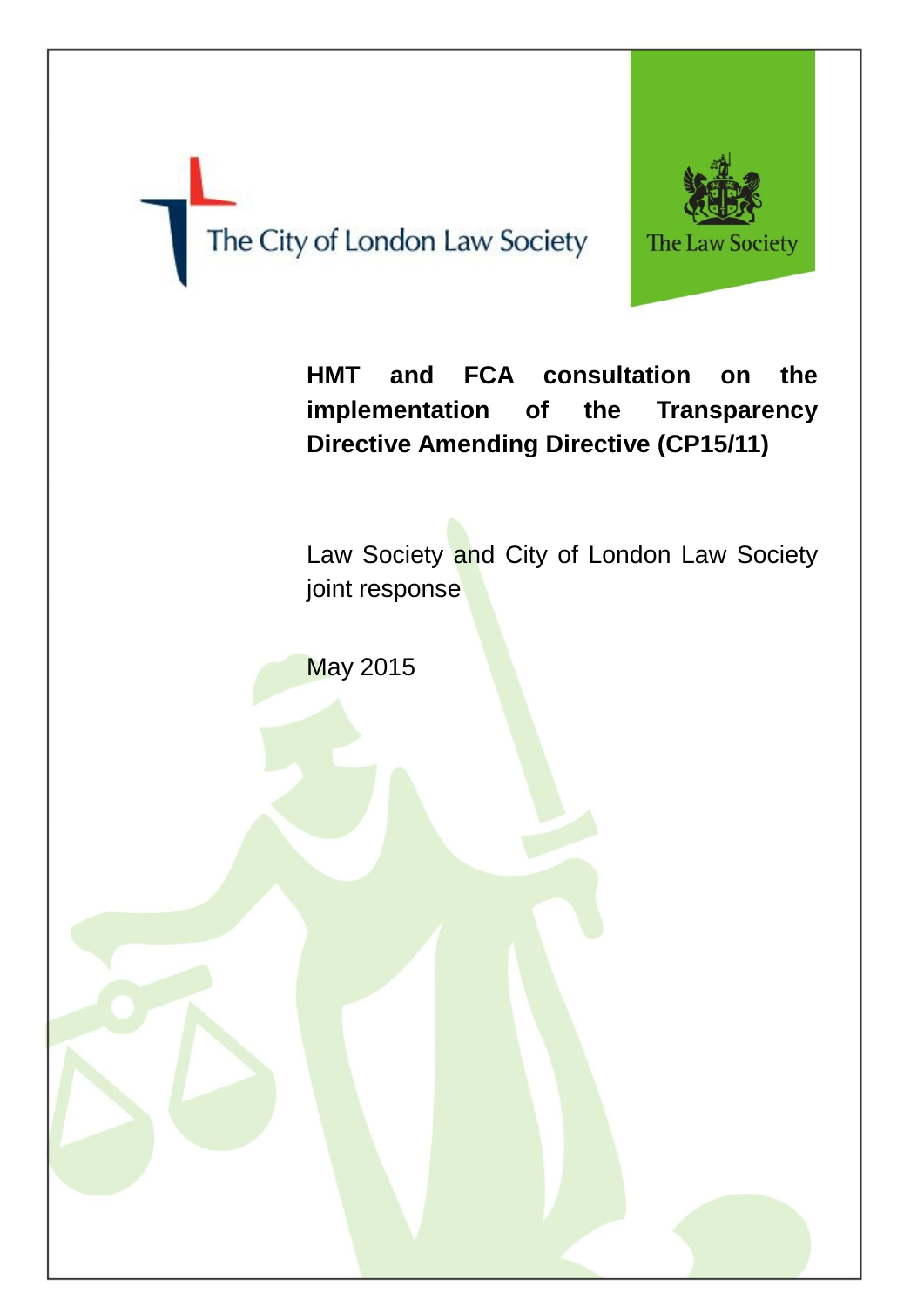



**HMT and FCA consultation on the implementation of the Transparency Directive Amending Directive (CP15/11)**

Law Society and City of London Law Society joint response

May 2015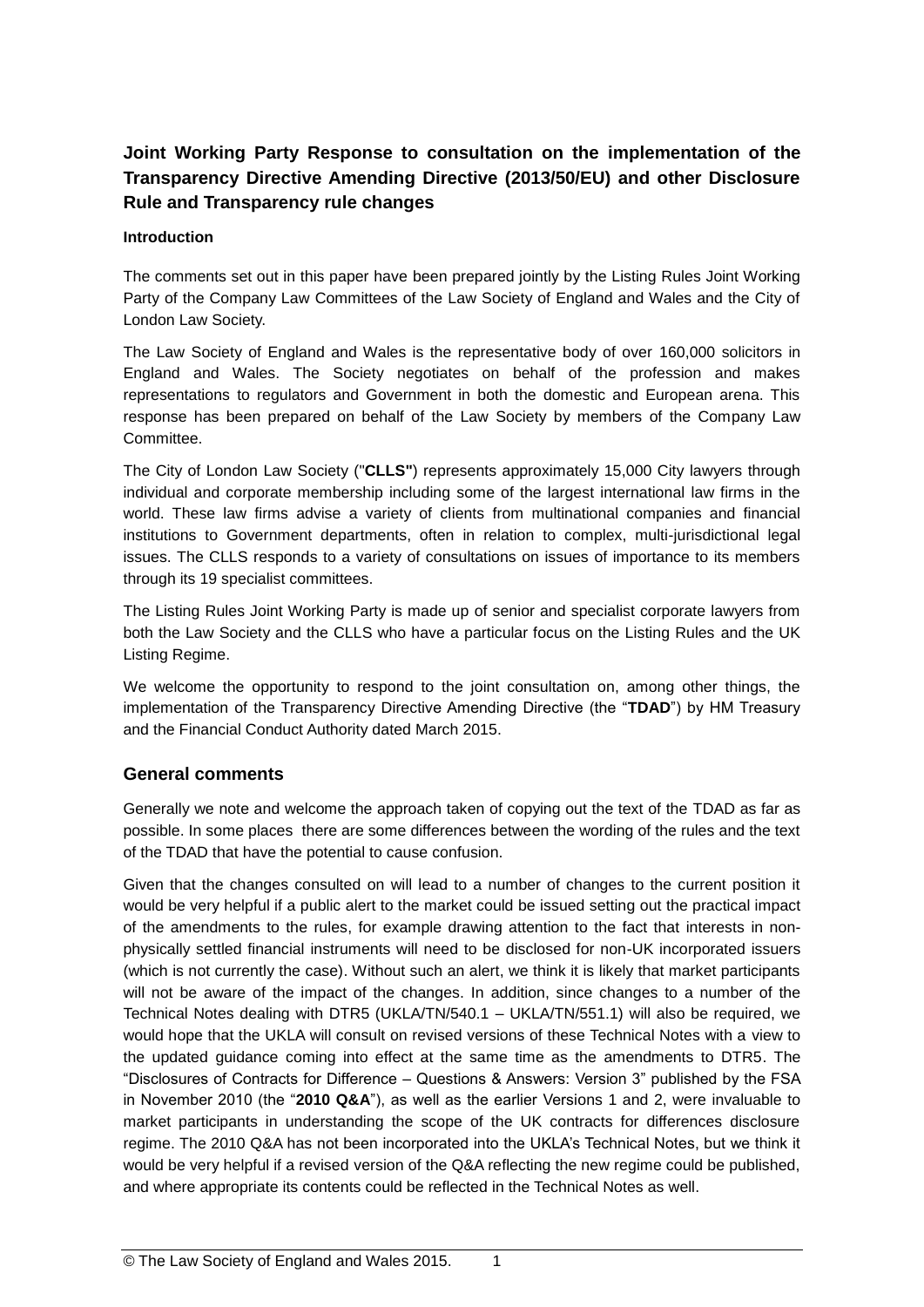# **Joint Working Party Response to consultation on the implementation of the Transparency Directive Amending Directive (2013/50/EU) and other Disclosure Rule and Transparency rule changes**

#### **Introduction**

The comments set out in this paper have been prepared jointly by the Listing Rules Joint Working Party of the Company Law Committees of the Law Society of England and Wales and the City of London Law Society.

The Law Society of England and Wales is the representative body of over 160,000 solicitors in England and Wales. The Society negotiates on behalf of the profession and makes representations to regulators and Government in both the domestic and European arena. This response has been prepared on behalf of the Law Society by members of the Company Law Committee.

The City of London Law Society ("**CLLS"**) represents approximately 15,000 City lawyers through individual and corporate membership including some of the largest international law firms in the world. These law firms advise a variety of clients from multinational companies and financial institutions to Government departments, often in relation to complex, multi-jurisdictional legal issues. The CLLS responds to a variety of consultations on issues of importance to its members through its 19 specialist committees.

The Listing Rules Joint Working Party is made up of senior and specialist corporate lawyers from both the Law Society and the CLLS who have a particular focus on the Listing Rules and the UK Listing Regime.

We welcome the opportunity to respond to the joint consultation on, among other things, the implementation of the Transparency Directive Amending Directive (the "**TDAD**") by HM Treasury and the Financial Conduct Authority dated March 2015.

## **General comments**

Generally we note and welcome the approach taken of copying out the text of the TDAD as far as possible. In some places there are some differences between the wording of the rules and the text of the TDAD that have the potential to cause confusion.

Given that the changes consulted on will lead to a number of changes to the current position it would be very helpful if a public alert to the market could be issued setting out the practical impact of the amendments to the rules, for example drawing attention to the fact that interests in nonphysically settled financial instruments will need to be disclosed for non-UK incorporated issuers (which is not currently the case). Without such an alert, we think it is likely that market participants will not be aware of the impact of the changes. In addition, since changes to a number of the Technical Notes dealing with DTR5 (UKLA/TN/540.1 – UKLA/TN/551.1) will also be required, we would hope that the UKLA will consult on revised versions of these Technical Notes with a view to the updated guidance coming into effect at the same time as the amendments to DTR5. The "Disclosures of Contracts for Difference – Questions & Answers: Version 3" published by the FSA in November 2010 (the "**2010 Q&A**"), as well as the earlier Versions 1 and 2, were invaluable to market participants in understanding the scope of the UK contracts for differences disclosure regime. The 2010 Q&A has not been incorporated into the UKLA's Technical Notes, but we think it would be very helpful if a revised version of the Q&A reflecting the new regime could be published, and where appropriate its contents could be reflected in the Technical Notes as well.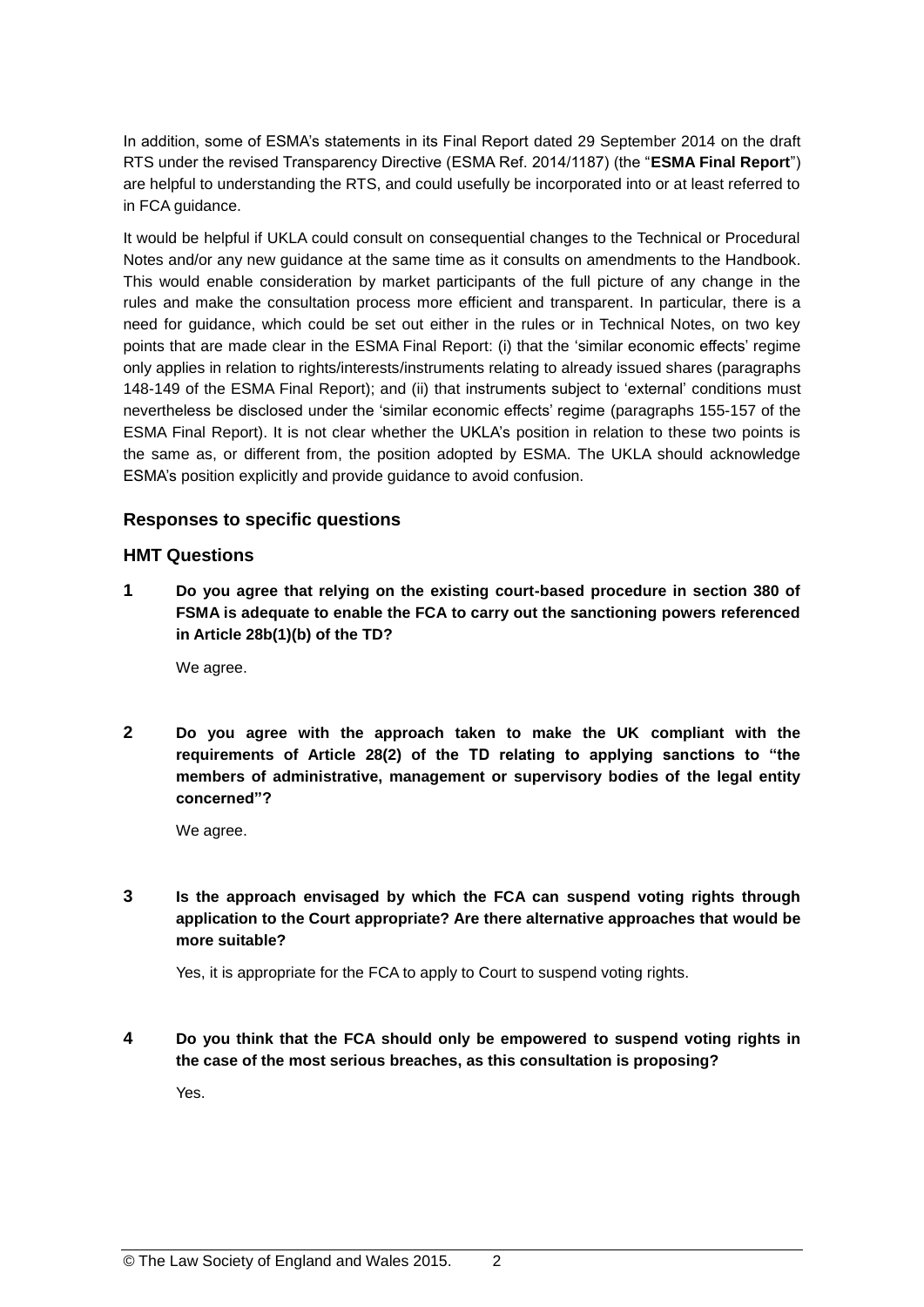In addition, some of ESMA's statements in its Final Report dated 29 September 2014 on the draft RTS under the revised Transparency Directive (ESMA Ref. 2014/1187) (the "**ESMA Final Report**") are helpful to understanding the RTS, and could usefully be incorporated into or at least referred to in FCA guidance.

It would be helpful if UKLA could consult on consequential changes to the Technical or Procedural Notes and/or any new guidance at the same time as it consults on amendments to the Handbook. This would enable consideration by market participants of the full picture of any change in the rules and make the consultation process more efficient and transparent. In particular, there is a need for guidance, which could be set out either in the rules or in Technical Notes, on two key points that are made clear in the ESMA Final Report: (i) that the 'similar economic effects' regime only applies in relation to rights/interests/instruments relating to already issued shares (paragraphs 148-149 of the ESMA Final Report); and (ii) that instruments subject to 'external' conditions must nevertheless be disclosed under the 'similar economic effects' regime (paragraphs 155-157 of the ESMA Final Report). It is not clear whether the UKLA's position in relation to these two points is the same as, or different from, the position adopted by ESMA. The UKLA should acknowledge ESMA's position explicitly and provide guidance to avoid confusion.

### **Responses to specific questions**

#### **HMT Questions**

**1 Do you agree that relying on the existing court-based procedure in section 380 of FSMA is adequate to enable the FCA to carry out the sanctioning powers referenced in Article 28b(1)(b) of the TD?**

We agree.

**2 Do you agree with the approach taken to make the UK compliant with the requirements of Article 28(2) of the TD relating to applying sanctions to "the members of administrative, management or supervisory bodies of the legal entity concerned"?**

We agree.

**3 Is the approach envisaged by which the FCA can suspend voting rights through application to the Court appropriate? Are there alternative approaches that would be more suitable?**

Yes, it is appropriate for the FCA to apply to Court to suspend voting rights.

**4 Do you think that the FCA should only be empowered to suspend voting rights in the case of the most serious breaches, as this consultation is proposing?** Yes.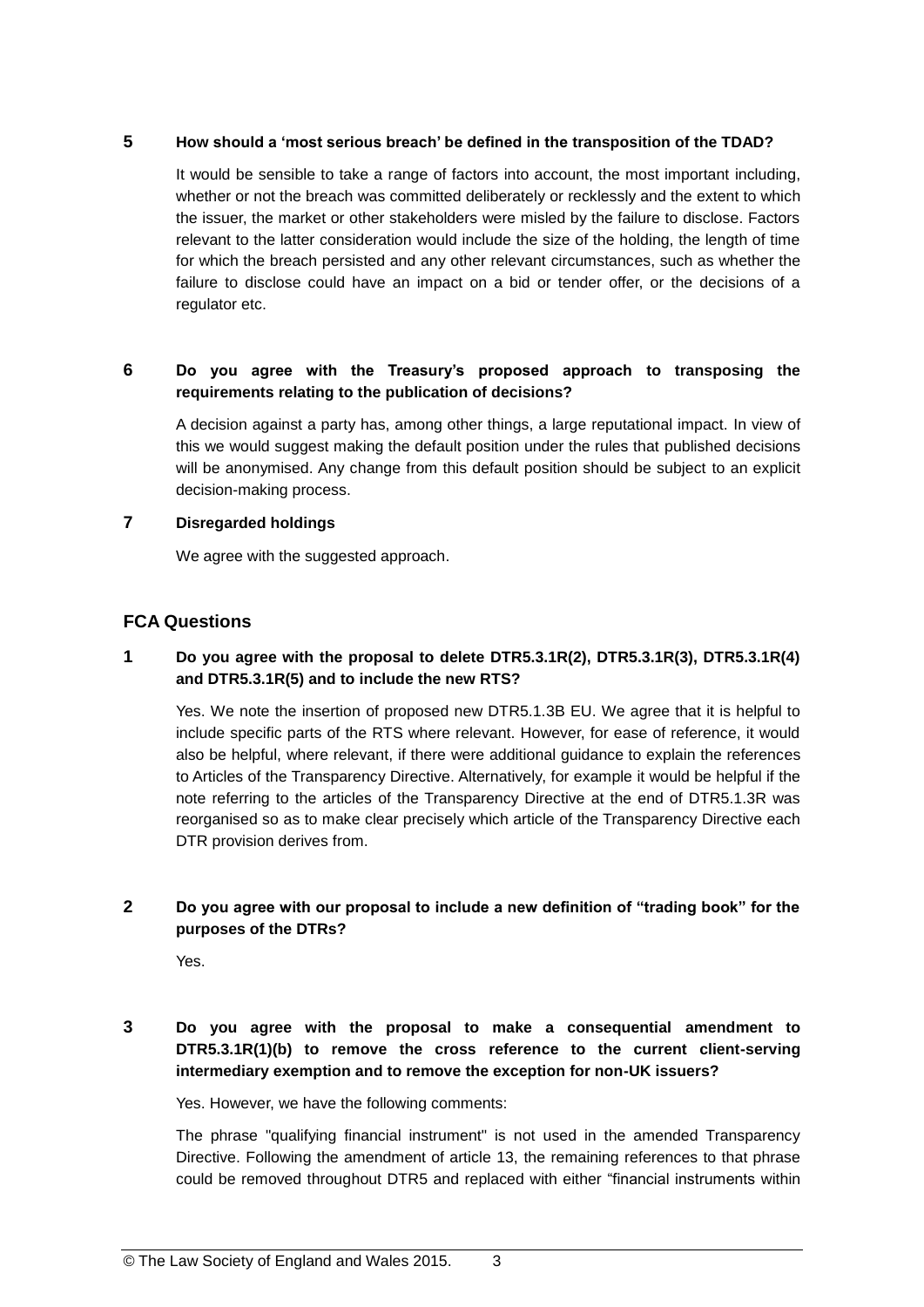#### **5 How should a 'most serious breach' be defined in the transposition of the TDAD?**

It would be sensible to take a range of factors into account, the most important including, whether or not the breach was committed deliberately or recklessly and the extent to which the issuer, the market or other stakeholders were misled by the failure to disclose. Factors relevant to the latter consideration would include the size of the holding, the length of time for which the breach persisted and any other relevant circumstances, such as whether the failure to disclose could have an impact on a bid or tender offer, or the decisions of a regulator etc.

## **6 Do you agree with the Treasury's proposed approach to transposing the requirements relating to the publication of decisions?**

A decision against a party has, among other things, a large reputational impact. In view of this we would suggest making the default position under the rules that published decisions will be anonymised. Any change from this default position should be subject to an explicit decision-making process.

## **7 Disregarded holdings**

We agree with the suggested approach.

## **FCA Questions**

## **1 Do you agree with the proposal to delete DTR5.3.1R(2), DTR5.3.1R(3), DTR5.3.1R(4) and DTR5.3.1R(5) and to include the new RTS?**

Yes. We note the insertion of proposed new DTR5.1.3B EU. We agree that it is helpful to include specific parts of the RTS where relevant. However, for ease of reference, it would also be helpful, where relevant, if there were additional guidance to explain the references to Articles of the Transparency Directive. Alternatively, for example it would be helpful if the note referring to the articles of the Transparency Directive at the end of DTR5.1.3R was reorganised so as to make clear precisely which article of the Transparency Directive each DTR provision derives from.

### **2 Do you agree with our proposal to include a new definition of "trading book" for the purposes of the DTRs?**

Yes.

## **3 Do you agree with the proposal to make a consequential amendment to DTR5.3.1R(1)(b) to remove the cross reference to the current client-serving intermediary exemption and to remove the exception for non-UK issuers?**

Yes. However, we have the following comments:

The phrase "qualifying financial instrument" is not used in the amended Transparency Directive. Following the amendment of article 13, the remaining references to that phrase could be removed throughout DTR5 and replaced with either "financial instruments within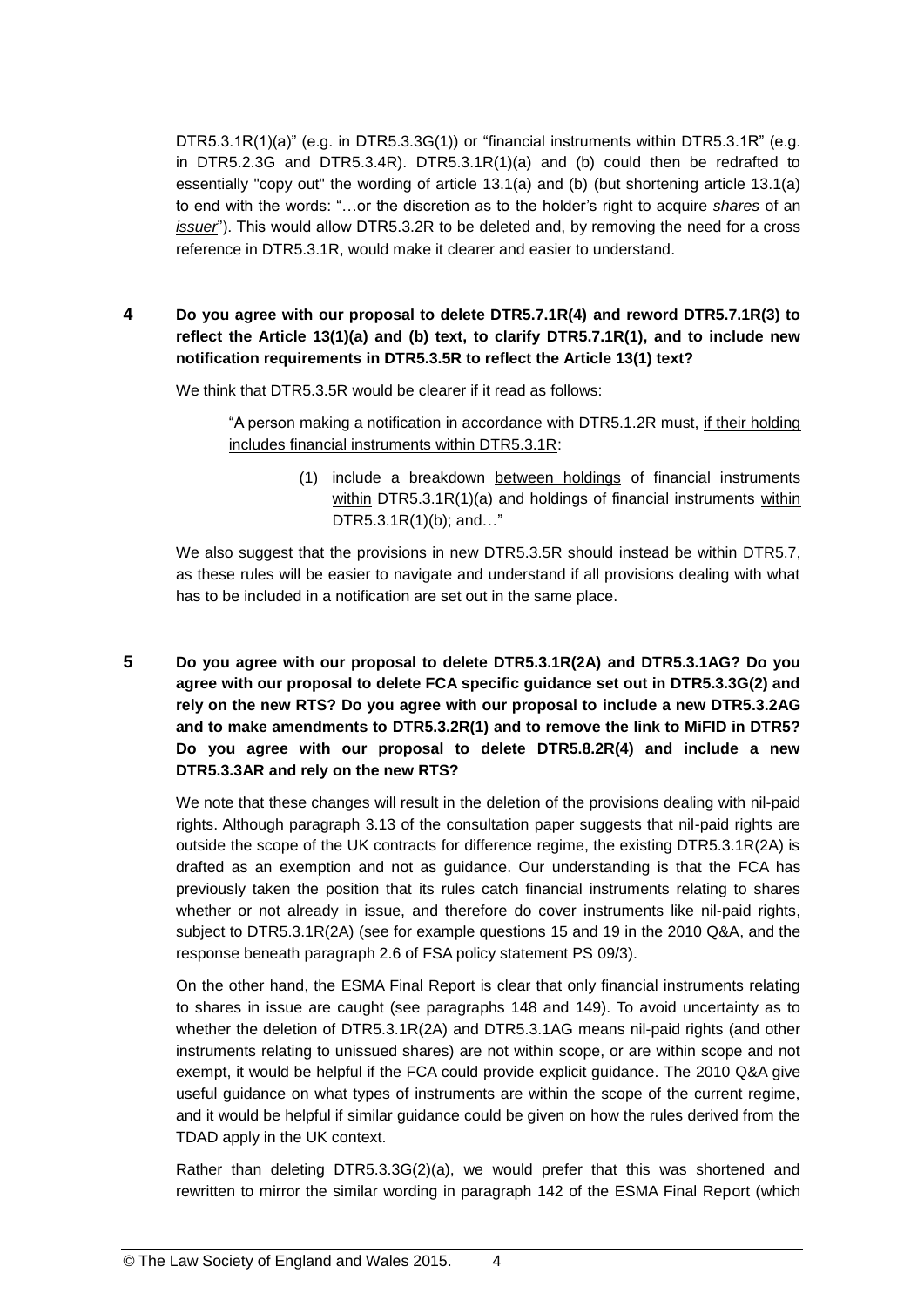DTR5.3.1R(1)(a)" (e.g. in DTR5.3.3G(1)) or "financial instruments within DTR5.3.1R" (e.g. in DTR5.2.3G and DTR5.3.4R). DTR5.3.1R(1)(a) and (b) could then be redrafted to essentially "copy out" the wording of article 13.1(a) and (b) (but shortening article 13.1(a) to end with the words: "…or the discretion as to the holder's right to acquire *shares* of an *issuer*"). This would allow DTR5.3.2R to be deleted and, by removing the need for a cross reference in DTR5.3.1R, would make it clearer and easier to understand.

**4 Do you agree with our proposal to delete DTR5.7.1R(4) and reword DTR5.7.1R(3) to reflect the Article 13(1)(a) and (b) text, to clarify DTR5.7.1R(1), and to include new notification requirements in DTR5.3.5R to reflect the Article 13(1) text?**

We think that DTR5.3.5R would be clearer if it read as follows:

"A person making a notification in accordance with DTR5.1.2R must, if their holding includes financial instruments within DTR5.3.1R:

> (1) include a breakdown between holdings of financial instruments within DTR5.3.1R(1)(a) and holdings of financial instruments within DTR5.3.1R(1)(b); and…"

We also suggest that the provisions in new DTR5.3.5R should instead be within DTR5.7, as these rules will be easier to navigate and understand if all provisions dealing with what has to be included in a notification are set out in the same place.

**5 Do you agree with our proposal to delete DTR5.3.1R(2A) and DTR5.3.1AG? Do you agree with our proposal to delete FCA specific guidance set out in DTR5.3.3G(2) and rely on the new RTS? Do you agree with our proposal to include a new DTR5.3.2AG and to make amendments to DTR5.3.2R(1) and to remove the link to MiFID in DTR5? Do you agree with our proposal to delete DTR5.8.2R(4) and include a new DTR5.3.3AR and rely on the new RTS?**

We note that these changes will result in the deletion of the provisions dealing with nil-paid rights. Although paragraph 3.13 of the consultation paper suggests that nil-paid rights are outside the scope of the UK contracts for difference regime, the existing DTR5.3.1R(2A) is drafted as an exemption and not as guidance. Our understanding is that the FCA has previously taken the position that its rules catch financial instruments relating to shares whether or not already in issue, and therefore do cover instruments like nil-paid rights, subject to DTR5.3.1R(2A) (see for example questions 15 and 19 in the 2010 Q&A, and the response beneath paragraph 2.6 of FSA policy statement PS 09/3).

On the other hand, the ESMA Final Report is clear that only financial instruments relating to shares in issue are caught (see paragraphs 148 and 149). To avoid uncertainty as to whether the deletion of DTR5.3.1R(2A) and DTR5.3.1AG means nil-paid rights (and other instruments relating to unissued shares) are not within scope, or are within scope and not exempt, it would be helpful if the FCA could provide explicit guidance. The 2010 Q&A give useful guidance on what types of instruments are within the scope of the current regime, and it would be helpful if similar guidance could be given on how the rules derived from the TDAD apply in the UK context.

Rather than deleting DTR5.3.3G(2)(a), we would prefer that this was shortened and rewritten to mirror the similar wording in paragraph 142 of the ESMA Final Report (which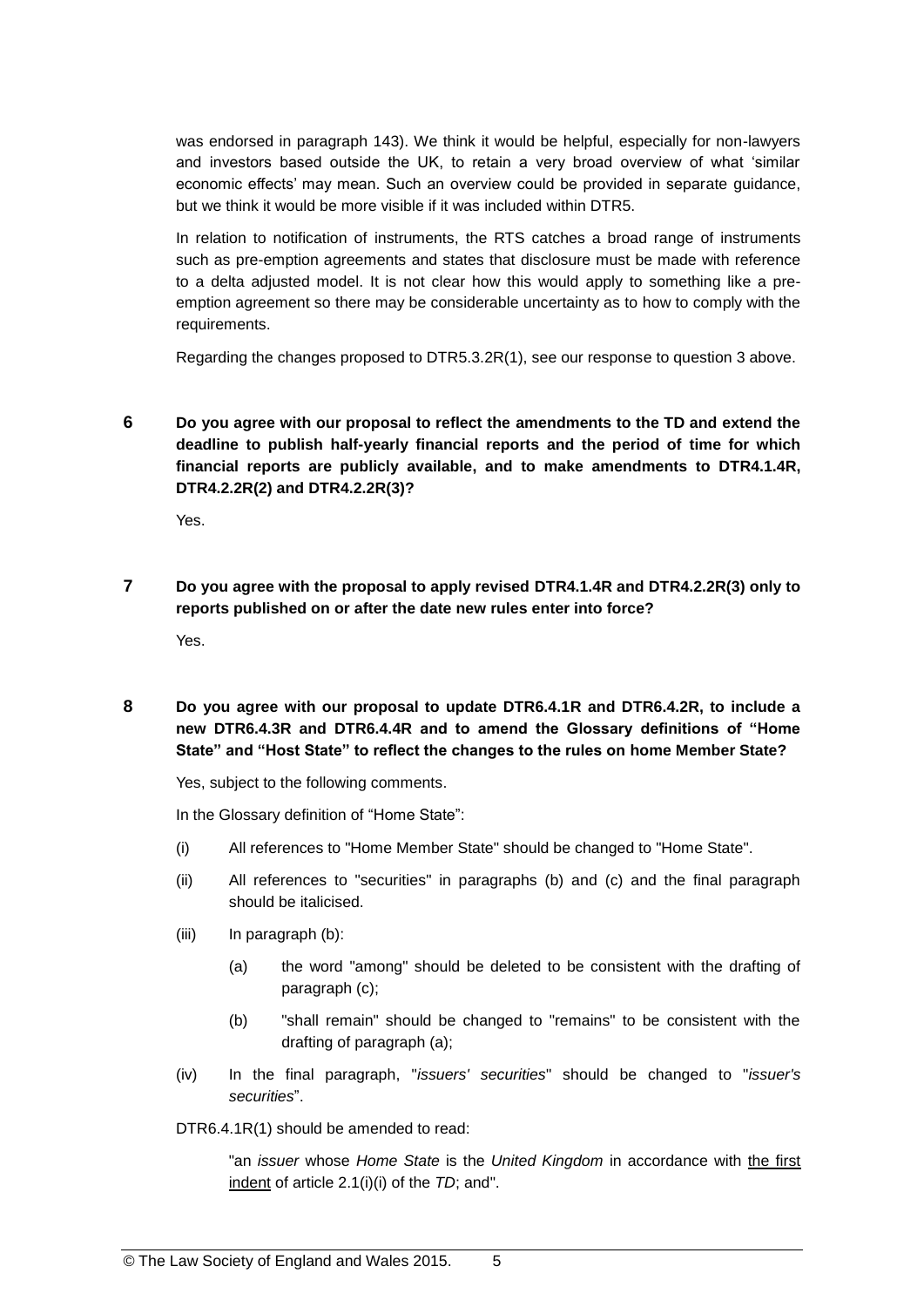was endorsed in paragraph 143). We think it would be helpful, especially for non-lawyers and investors based outside the UK, to retain a very broad overview of what 'similar economic effects' may mean. Such an overview could be provided in separate guidance, but we think it would be more visible if it was included within DTR5.

In relation to notification of instruments, the RTS catches a broad range of instruments such as pre-emption agreements and states that disclosure must be made with reference to a delta adjusted model. It is not clear how this would apply to something like a preemption agreement so there may be considerable uncertainty as to how to comply with the requirements.

Regarding the changes proposed to DTR5.3.2R(1), see our response to question 3 above.

**6 Do you agree with our proposal to reflect the amendments to the TD and extend the deadline to publish half-yearly financial reports and the period of time for which financial reports are publicly available, and to make amendments to DTR4.1.4R, DTR4.2.2R(2) and DTR4.2.2R(3)?**

Yes.

**7 Do you agree with the proposal to apply revised DTR4.1.4R and DTR4.2.2R(3) only to reports published on or after the date new rules enter into force?**

Yes.

**8 Do you agree with our proposal to update DTR6.4.1R and DTR6.4.2R, to include a new DTR6.4.3R and DTR6.4.4R and to amend the Glossary definitions of "Home State" and "Host State" to reflect the changes to the rules on home Member State?**

Yes, subject to the following comments.

In the Glossary definition of "Home State":

- (i) All references to "Home Member State" should be changed to "Home State".
- (ii) All references to "securities" in paragraphs (b) and (c) and the final paragraph should be italicised.
- (iii) In paragraph (b):
	- (a) the word "among" should be deleted to be consistent with the drafting of paragraph (c);
	- (b) "shall remain" should be changed to "remains" to be consistent with the drafting of paragraph (a);
- (iv) In the final paragraph, "*issuers' securities*" should be changed to "*issuer's securities*".

DTR6.4.1R(1) should be amended to read:

"an *issuer* whose *Home State* is the *United Kingdom* in accordance with the first indent of article 2.1(i)(i) of the *TD*; and".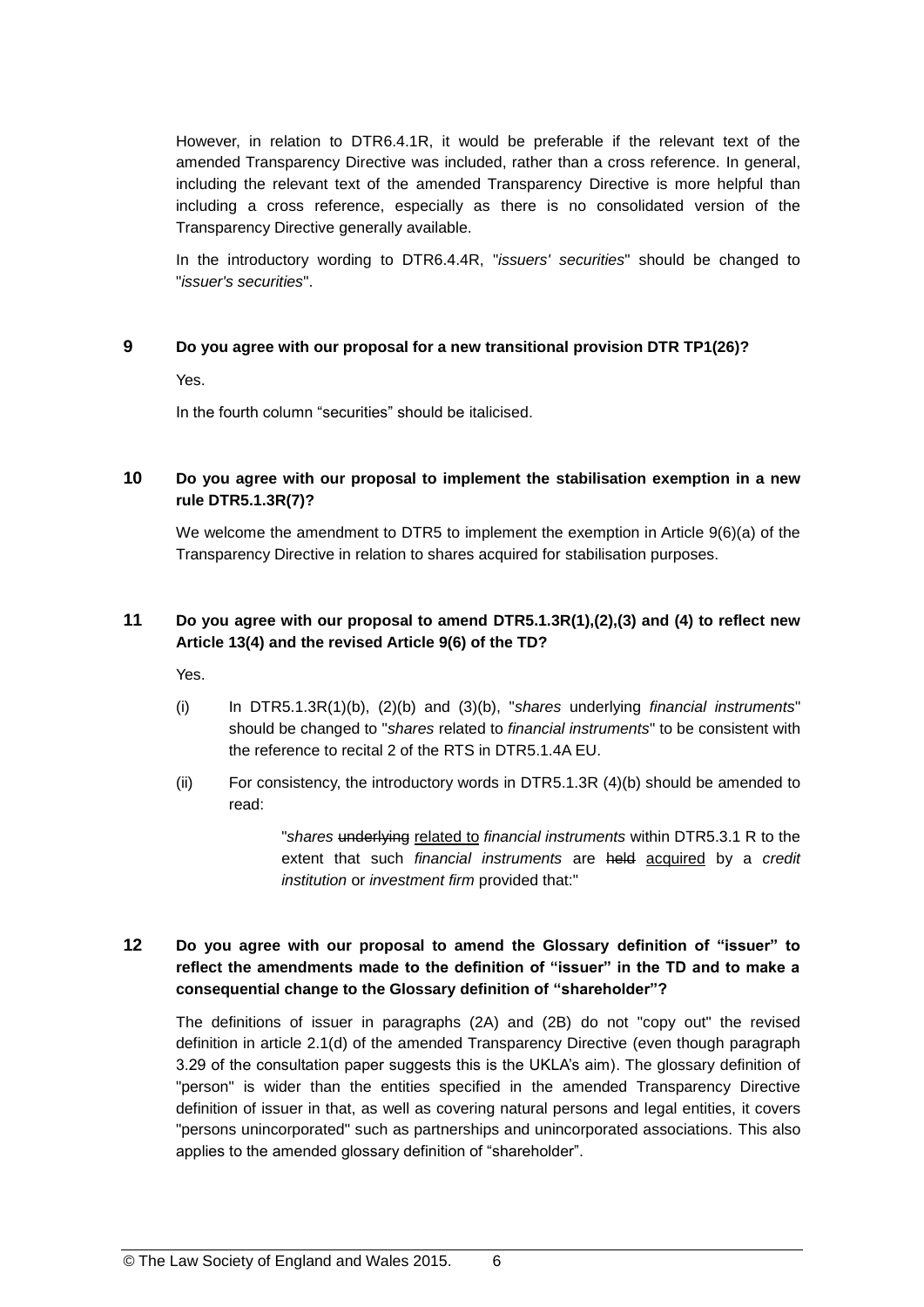However, in relation to DTR6.4.1R, it would be preferable if the relevant text of the amended Transparency Directive was included, rather than a cross reference. In general, including the relevant text of the amended Transparency Directive is more helpful than including a cross reference, especially as there is no consolidated version of the Transparency Directive generally available.

In the introductory wording to DTR6.4.4R, "*issuers' securities*" should be changed to "*issuer's securities*".

#### **9 Do you agree with our proposal for a new transitional provision DTR TP1(26)?**

Yes.

In the fourth column "securities" should be italicised.

## **10 Do you agree with our proposal to implement the stabilisation exemption in a new rule DTR5.1.3R(7)?**

We welcome the amendment to DTR5 to implement the exemption in Article 9(6)(a) of the Transparency Directive in relation to shares acquired for stabilisation purposes.

## **11 Do you agree with our proposal to amend DTR5.1.3R(1),(2),(3) and (4) to reflect new Article 13(4) and the revised Article 9(6) of the TD?**

Yes.

- (i) In DTR5.1.3R(1)(b), (2)(b) and (3)(b), "*shares* underlying *financial instruments*" should be changed to "*shares* related to *financial instruments*" to be consistent with the reference to recital 2 of the RTS in DTR5.1.4A EU.
- (ii) For consistency, the introductory words in DTR5.1.3R  $(4)(b)$  should be amended to read:

"*shares* underlying related to *financial instruments* within DTR5.3.1 R to the extent that such *financial instruments* are held acquired by a *credit institution* or *investment firm* provided that:"

## **12 Do you agree with our proposal to amend the Glossary definition of "issuer" to reflect the amendments made to the definition of "issuer" in the TD and to make a consequential change to the Glossary definition of "shareholder"?**

The definitions of issuer in paragraphs (2A) and (2B) do not "copy out" the revised definition in article 2.1(d) of the amended Transparency Directive (even though paragraph 3.29 of the consultation paper suggests this is the UKLA's aim). The glossary definition of "person" is wider than the entities specified in the amended Transparency Directive definition of issuer in that, as well as covering natural persons and legal entities, it covers "persons unincorporated" such as partnerships and unincorporated associations. This also applies to the amended glossary definition of "shareholder".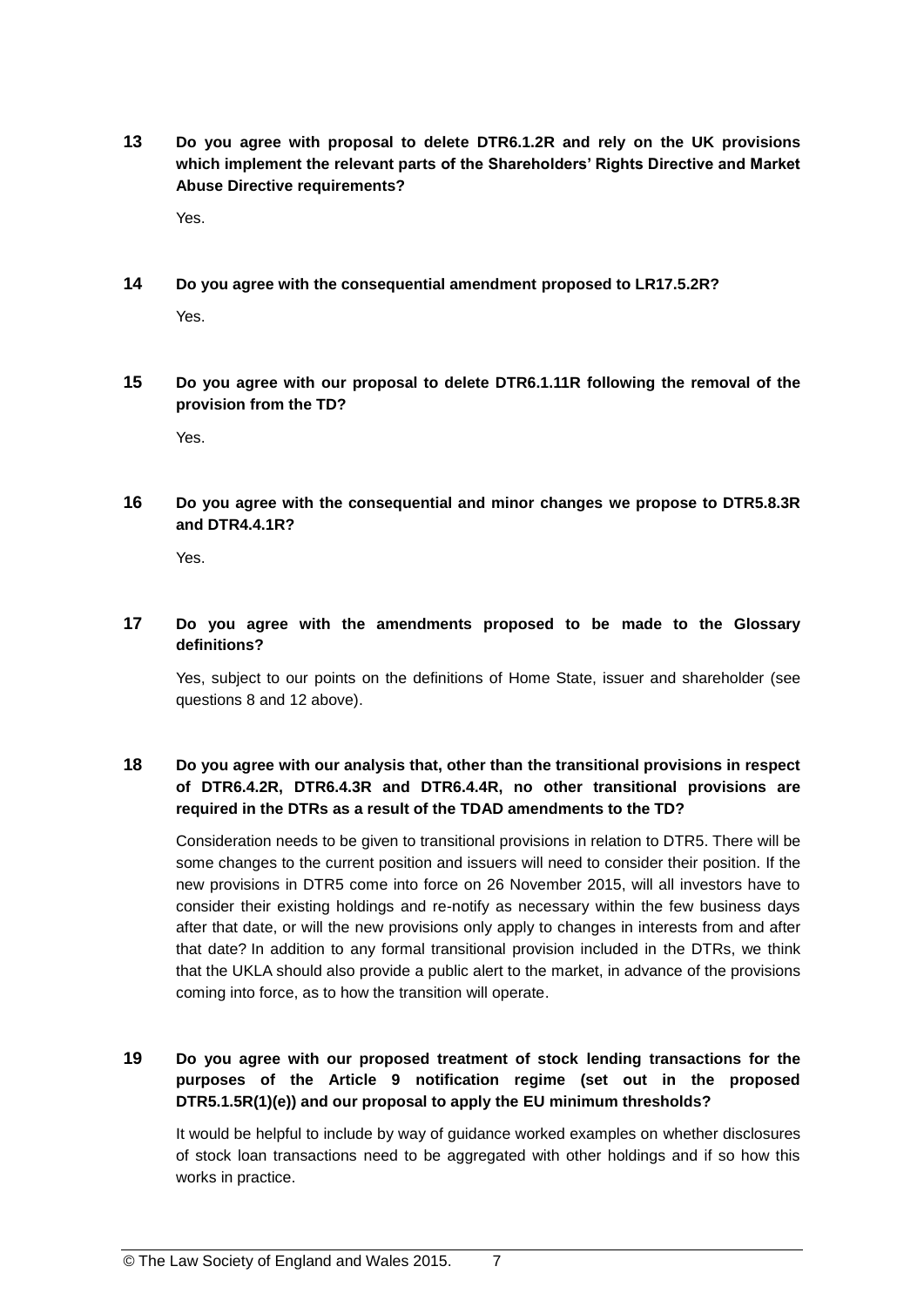**13 Do you agree with proposal to delete DTR6.1.2R and rely on the UK provisions which implement the relevant parts of the Shareholders' Rights Directive and Market Abuse Directive requirements?**

Yes.

**14 Do you agree with the consequential amendment proposed to LR17.5.2R?**

Yes.

**15 Do you agree with our proposal to delete DTR6.1.11R following the removal of the provision from the TD?**

Yes.

**16 Do you agree with the consequential and minor changes we propose to DTR5.8.3R and DTR4.4.1R?**

Yes.

#### **17 Do you agree with the amendments proposed to be made to the Glossary definitions?**

Yes, subject to our points on the definitions of Home State, issuer and shareholder (see questions 8 and 12 above).

## **18 Do you agree with our analysis that, other than the transitional provisions in respect of DTR6.4.2R, DTR6.4.3R and DTR6.4.4R, no other transitional provisions are required in the DTRs as a result of the TDAD amendments to the TD?**

Consideration needs to be given to transitional provisions in relation to DTR5. There will be some changes to the current position and issuers will need to consider their position. If the new provisions in DTR5 come into force on 26 November 2015, will all investors have to consider their existing holdings and re-notify as necessary within the few business days after that date, or will the new provisions only apply to changes in interests from and after that date? In addition to any formal transitional provision included in the DTRs, we think that the UKLA should also provide a public alert to the market, in advance of the provisions coming into force, as to how the transition will operate.

## **19 Do you agree with our proposed treatment of stock lending transactions for the purposes of the Article 9 notification regime (set out in the proposed DTR5.1.5R(1)(e)) and our proposal to apply the EU minimum thresholds?**

It would be helpful to include by way of guidance worked examples on whether disclosures of stock loan transactions need to be aggregated with other holdings and if so how this works in practice.